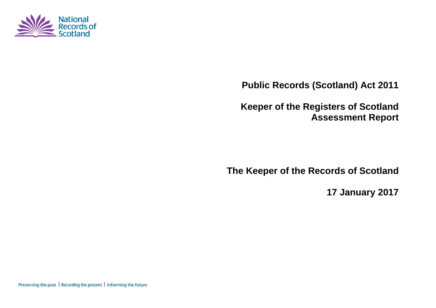

**Public Records (Scotland) Act 2011**

**Keeper of the Registers of Scotland Assessment Report**

**The Keeper of the Records of Scotland**

**17 January 2017**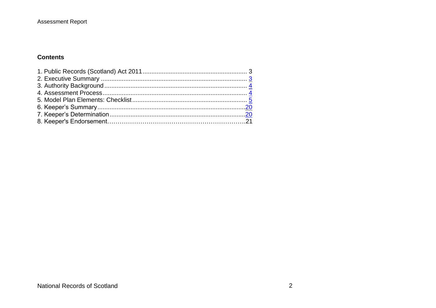#### Assessment Report

#### **Contents**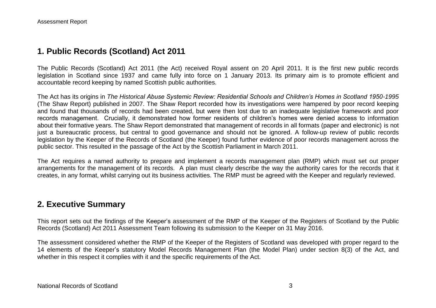## **1. Public Records (Scotland) Act 2011**

The Public Records (Scotland) Act 2011 (the Act) received Royal assent on 20 April 2011. It is the first new public records legislation in Scotland since 1937 and came fully into force on 1 January 2013. Its primary aim is to promote efficient and accountable record keeping by named Scottish public authorities.

The Act has its origins in *The Historical Abuse Systemic Review: Residential Schools and Children's Homes in Scotland 1950-1995* (The Shaw Report) published in 2007. The Shaw Report recorded how its investigations were hampered by poor record keeping and found that thousands of records had been created, but were then lost due to an inadequate legislative framework and poor records management. Crucially, it demonstrated how former residents of children's homes were denied access to information about their formative years. The Shaw Report demonstrated that management of records in all formats (paper and electronic) is not just a bureaucratic process, but central to good governance and should not be ignored. A follow-up review of public records legislation by the Keeper of the Records of Scotland (the Keeper) found further evidence of poor records management across the public sector. This resulted in the passage of the Act by the Scottish Parliament in March 2011.

The Act requires a named authority to prepare and implement a records management plan (RMP) which must set out proper arrangements for the management of its records. A plan must clearly describe the way the authority cares for the records that it creates, in any format, whilst carrying out its business activities. The RMP must be agreed with the Keeper and regularly reviewed.

#### **2. Executive Summary**

This report sets out the findings of the Keeper's assessment of the RMP of the Keeper of the Registers of Scotland by the Public Records (Scotland) Act 2011 Assessment Team following its submission to the Keeper on 31 May 2016.

The assessment considered whether the RMP of the Keeper of the Registers of Scotland was developed with proper regard to the 14 elements of the Keeper's statutory Model Records Management Plan (the Model Plan) under section 8(3) of the Act, and whether in this respect it complies with it and the specific requirements of the Act.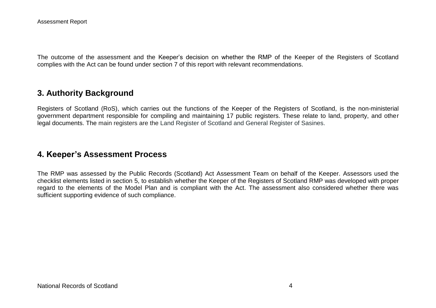The outcome of the assessment and the Keeper's decision on whether the RMP of the Keeper of the Registers of Scotland complies with the Act can be found under section 7 of this report with relevant recommendations.

## **3. Authority Background**

Registers of Scotland (RoS), which carries out the functions of the Keeper of the Registers of Scotland, is the non-ministerial government department responsible for compiling and maintaining 17 public registers. These relate to land, property, and other legal documents. The main registers are the Land Register of Scotland and General Register of Sasines.

#### **4. Keeper's Assessment Process**

The RMP was assessed by the Public Records (Scotland) Act Assessment Team on behalf of the Keeper. Assessors used the checklist elements listed in section 5, to establish whether the Keeper of the Registers of Scotland RMP was developed with proper regard to the elements of the Model Plan and is compliant with the Act. The assessment also considered whether there was sufficient supporting evidence of such compliance.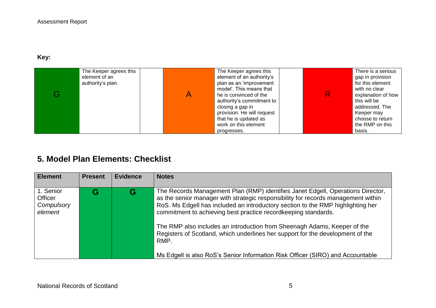#### **Key:**

| The Keeper agrees this<br>element of an<br>authority's plan. | The Keeper agrees this<br>element of an authority's<br>plan as an 'improvement<br>model'. This means that<br>he is convinced of the<br>authority's commitment to<br>closing a gap in<br>provision. He will request<br>that he is updated as<br>work on this element | R | There is a serious<br>gap in provision<br>for this element<br>with no clear<br>explanation of how<br>this will be<br>addressed. The<br>Keeper may<br>choose to return<br>the RMP on this |
|--------------------------------------------------------------|---------------------------------------------------------------------------------------------------------------------------------------------------------------------------------------------------------------------------------------------------------------------|---|------------------------------------------------------------------------------------------------------------------------------------------------------------------------------------------|
|                                                              | progresses.                                                                                                                                                                                                                                                         |   | basis.                                                                                                                                                                                   |

# **5. Model Plan Elements: Checklist**

| <b>Element</b>                                       | <b>Present</b> | <b>Evidence</b> | <b>Notes</b>                                                                                                                                                                                                                                                                                                                                                                                                                                                                                                                                                                      |
|------------------------------------------------------|----------------|-----------------|-----------------------------------------------------------------------------------------------------------------------------------------------------------------------------------------------------------------------------------------------------------------------------------------------------------------------------------------------------------------------------------------------------------------------------------------------------------------------------------------------------------------------------------------------------------------------------------|
| 1. Senior<br><b>Officer</b><br>Compulsory<br>element |                | G               | The Records Management Plan (RMP) identifies Janet Edgell, Operations Director,<br>as the senior manager with strategic responsibility for records management within<br>RoS. Ms Edgell has included an introductory section to the RMP highlighting her<br>commitment to achieving best practice recordkeeping standards.<br>The RMP also includes an introduction from Sheenagh Adams, Keeper of the<br>Registers of Scotland, which underlines her support for the development of the<br>RMP.<br>Ms Edgell is also RoS's Senior Information Risk Officer (SIRO) and Accountable |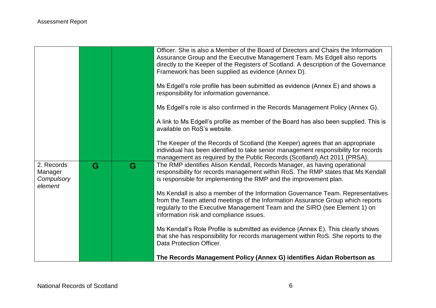|                                                |   |   | Officer. She is also a Member of the Board of Directors and Chairs the Information<br>Assurance Group and the Executive Management Team. Ms Edgell also reports<br>directly to the Keeper of the Registers of Scotland. A description of the Governance<br>Framework has been supplied as evidence (Annex D).<br>Ms Edgell's role profile has been submitted as evidence (Annex E) and shows a<br>responsibility for information governance.<br>Ms Edgell's role is also confirmed in the Records Management Policy (Annex G).<br>A link to Ms Edgell's profile as member of the Board has also been supplied. This is |
|------------------------------------------------|---|---|------------------------------------------------------------------------------------------------------------------------------------------------------------------------------------------------------------------------------------------------------------------------------------------------------------------------------------------------------------------------------------------------------------------------------------------------------------------------------------------------------------------------------------------------------------------------------------------------------------------------|
|                                                |   |   | available on RoS's website.<br>The Keeper of the Records of Scotland (the Keeper) agrees that an appropriate<br>individual has been identified to take senior management responsibility for records<br>management as required by the Public Records (Scotland) Act 2011 (PRSA).                                                                                                                                                                                                                                                                                                                                        |
| 2. Records<br>Manager<br>Compulsory<br>element | G | G | The RMP identifies Alison Kendall, Records Manager, as having operational<br>responsibility for records management within RoS. The RMP states that Ms Kendall<br>is responsible for implementing the RMP and the improvement plan.<br>Ms Kendall is also a member of the Information Governance Team. Representatives<br>from the Team attend meetings of the Information Assurance Group which reports<br>regularly to the Executive Management Team and the SIRO (see Element 1) on<br>information risk and compliance issues.                                                                                       |
|                                                |   |   | Ms Kendall's Role Profile is submitted as evidence (Annex E). This clearly shows<br>that she has responsibility for records management within RoS. She reports to the<br>Data Protection Officer.<br>The Records Management Policy (Annex G) identifies Aidan Robertson as                                                                                                                                                                                                                                                                                                                                             |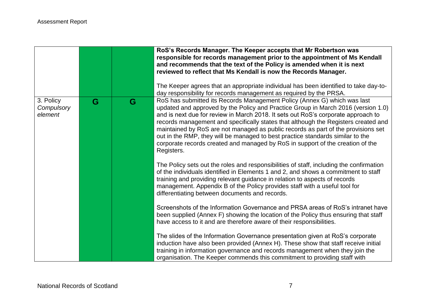|                                    |   |   | RoS's Records Manager. The Keeper accepts that Mr Robertson was<br>responsible for records management prior to the appointment of Ms Kendall<br>and recommends that the text of the Policy is amended when it is next<br>reviewed to reflect that Ms Kendall is now the Records Manager.<br>The Keeper agrees that an appropriate individual has been identified to take day-to-<br>day responsibility for records management as required by the PRSA.                                                                                                                                                          |
|------------------------------------|---|---|-----------------------------------------------------------------------------------------------------------------------------------------------------------------------------------------------------------------------------------------------------------------------------------------------------------------------------------------------------------------------------------------------------------------------------------------------------------------------------------------------------------------------------------------------------------------------------------------------------------------|
| 3. Policy<br>Compulsory<br>element | G | G | RoS has submitted its Records Management Policy (Annex G) which was last<br>updated and approved by the Policy and Practice Group in March 2016 (version 1.0)<br>and is next due for review in March 2018. It sets out RoS's corporate approach to<br>records management and specifically states that although the Registers created and<br>maintained by RoS are not managed as public records as part of the provisions set<br>out in the RMP, they will be managed to best practice standards similar to the<br>corporate records created and managed by RoS in support of the creation of the<br>Registers. |
|                                    |   |   | The Policy sets out the roles and responsibilities of staff, including the confirmation<br>of the individuals identified in Elements 1 and 2, and shows a commitment to staff<br>training and providing relevant guidance in relation to aspects of records<br>management. Appendix B of the Policy provides staff with a useful tool for<br>differentiating between documents and records.                                                                                                                                                                                                                     |
|                                    |   |   | Screenshots of the Information Governance and PRSA areas of RoS's intranet have<br>been supplied (Annex F) showing the location of the Policy thus ensuring that staff<br>have access to it and are therefore aware of their responsibilities.                                                                                                                                                                                                                                                                                                                                                                  |
|                                    |   |   | The slides of the Information Governance presentation given at RoS's corporate<br>induction have also been provided (Annex H). These show that staff receive initial<br>training in information governance and records management when they join the<br>organisation. The Keeper commends this commitment to providing staff with                                                                                                                                                                                                                                                                               |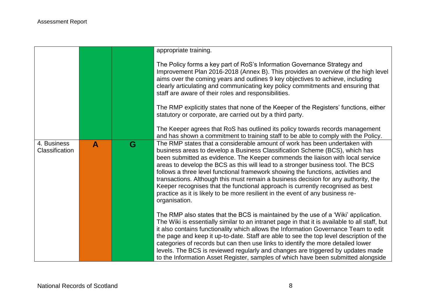|                               |              |   | appropriate training.                                                                                                                                                                                                                                                                                                                                                                                                                                                                                                                                                                                                                                                                         |
|-------------------------------|--------------|---|-----------------------------------------------------------------------------------------------------------------------------------------------------------------------------------------------------------------------------------------------------------------------------------------------------------------------------------------------------------------------------------------------------------------------------------------------------------------------------------------------------------------------------------------------------------------------------------------------------------------------------------------------------------------------------------------------|
|                               |              |   | The Policy forms a key part of RoS's Information Governance Strategy and<br>Improvement Plan 2016-2018 (Annex B). This provides an overview of the high level<br>aims over the coming years and outlines 9 key objectives to achieve, including<br>clearly articulating and communicating key policy commitments and ensuring that<br>staff are aware of their roles and responsibilities.                                                                                                                                                                                                                                                                                                    |
|                               |              |   | The RMP explicitly states that none of the Keeper of the Registers' functions, either<br>statutory or corporate, are carried out by a third party.                                                                                                                                                                                                                                                                                                                                                                                                                                                                                                                                            |
|                               |              |   | The Keeper agrees that RoS has outlined its policy towards records management<br>and has shown a commitment to training staff to be able to comply with the Policy.                                                                                                                                                                                                                                                                                                                                                                                                                                                                                                                           |
| 4. Business<br>Classification | $\mathbf{A}$ | G | The RMP states that a considerable amount of work has been undertaken with<br>business areas to develop a Business Classification Scheme (BCS), which has<br>been submitted as evidence. The Keeper commends the liaison with local service<br>areas to develop the BCS as this will lead to a stronger business tool. The BCS<br>follows a three level functional framework showing the functions, activities and<br>transactions. Although this must remain a business decision for any authority, the<br>Keeper recognises that the functional approach is currently recognised as best<br>practice as it is likely to be more resilient in the event of any business re-<br>organisation. |
|                               |              |   | The RMP also states that the BCS is maintained by the use of a 'Wiki' application.<br>The Wiki is essentially similar to an intranet page in that it is available to all staff, but<br>it also contains functionality which allows the Information Governance Team to edit<br>the page and keep it up-to-date. Staff are able to see the top level description of the<br>categories of records but can then use links to identify the more detailed lower<br>levels. The BCS is reviewed regularly and changes are triggered by updates made<br>to the Information Asset Register, samples of which have been submitted alongside                                                             |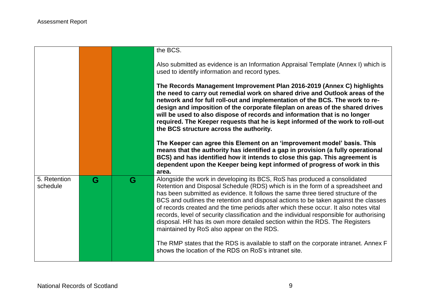|                          |   |   | the BCS.                                                                                                                                                                                                                                                                                                                                                                                                                                                                                                                                                                                                                                                  |
|--------------------------|---|---|-----------------------------------------------------------------------------------------------------------------------------------------------------------------------------------------------------------------------------------------------------------------------------------------------------------------------------------------------------------------------------------------------------------------------------------------------------------------------------------------------------------------------------------------------------------------------------------------------------------------------------------------------------------|
|                          |   |   | Also submitted as evidence is an Information Appraisal Template (Annex I) which is<br>used to identify information and record types.                                                                                                                                                                                                                                                                                                                                                                                                                                                                                                                      |
|                          |   |   | The Records Management Improvement Plan 2016-2019 (Annex C) highlights<br>the need to carry out remedial work on shared drive and Outlook areas of the<br>network and for full roll-out and implementation of the BCS. The work to re-<br>design and imposition of the corporate fileplan on areas of the shared drives<br>will be used to also dispose of records and information that is no longer<br>required. The Keeper requests that he is kept informed of the work to roll-out<br>the BCS structure across the authority.                                                                                                                         |
|                          |   |   | The Keeper can agree this Element on an 'improvement model' basis. This<br>means that the authority has identified a gap in provision (a fully operational<br>BCS) and has identified how it intends to close this gap. This agreement is<br>dependent upon the Keeper being kept informed of progress of work in this<br>area.                                                                                                                                                                                                                                                                                                                           |
| 5. Retention<br>schedule | G | G | Alongside the work in developing its BCS, RoS has produced a consolidated<br>Retention and Disposal Schedule (RDS) which is in the form of a spreadsheet and<br>has been submitted as evidence. It follows the same three tiered structure of the<br>BCS and outlines the retention and disposal actions to be taken against the classes<br>of records created and the time periods after which these occur. It also notes vital<br>records, level of security classification and the individual responsible for authorising<br>disposal. HR has its own more detailed section within the RDS. The Registers<br>maintained by RoS also appear on the RDS. |
|                          |   |   | The RMP states that the RDS is available to staff on the corporate intranet. Annex F<br>shows the location of the RDS on RoS's intranet site.                                                                                                                                                                                                                                                                                                                                                                                                                                                                                                             |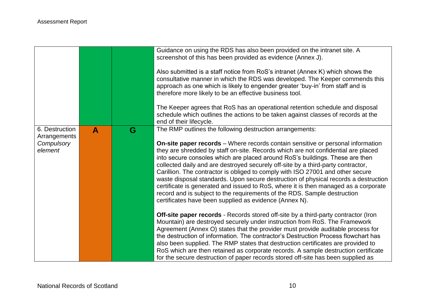|                                                         |   |   | Guidance on using the RDS has also been provided on the intranet site. A<br>screenshot of this has been provided as evidence (Annex J).<br>Also submitted is a staff notice from RoS's intranet (Annex K) which shows the<br>consultative manner in which the RDS was developed. The Keeper commends this<br>approach as one which is likely to engender greater 'buy-in' from staff and is<br>therefore more likely to be an effective business tool.<br>The Keeper agrees that RoS has an operational retention schedule and disposal                                                                                                                                                                                                                                                                           |
|---------------------------------------------------------|---|---|-------------------------------------------------------------------------------------------------------------------------------------------------------------------------------------------------------------------------------------------------------------------------------------------------------------------------------------------------------------------------------------------------------------------------------------------------------------------------------------------------------------------------------------------------------------------------------------------------------------------------------------------------------------------------------------------------------------------------------------------------------------------------------------------------------------------|
|                                                         |   |   | schedule which outlines the actions to be taken against classes of records at the<br>end of their lifecycle.                                                                                                                                                                                                                                                                                                                                                                                                                                                                                                                                                                                                                                                                                                      |
| 6. Destruction<br>Arrangements<br>Compulsory<br>element | A | G | The RMP outlines the following destruction arrangements:<br><b>On-site paper records</b> – Where records contain sensitive or personal information<br>they are shredded by staff on-site. Records which are not confidential are placed<br>into secure consoles which are placed around RoS's buildings. These are then<br>collected daily and are destroyed securely off-site by a third-party contractor,<br>Carillion. The contractor is obliged to comply with ISO 27001 and other secure<br>waste disposal standards. Upon secure destruction of physical records a destruction<br>certificate is generated and issued to RoS, where it is then managed as a corporate<br>record and is subject to the requirements of the RDS. Sample destruction<br>certificates have been supplied as evidence (Annex N). |
|                                                         |   |   | Off-site paper records - Records stored off-site by a third-party contractor (Iron<br>Mountain) are destroyed securely under instruction from RoS. The Framework<br>Agreement (Annex O) states that the provider must provide auditable process for<br>the destruction of information. The contractor's Destruction Process flowchart has<br>also been supplied. The RMP states that destruction certificates are provided to<br>RoS which are then retained as corporate records. A sample destruction certificate<br>for the secure destruction of paper records stored off-site has been supplied as                                                                                                                                                                                                           |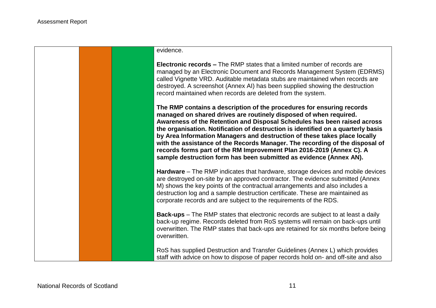#### evidence.

**Electronic records –** The RMP states that a limited number of records are managed by an Electronic Document and Records Management System (EDRMS) called Vignette VRD. Auditable metadata stubs are maintained when records are destroyed. A screenshot (Annex AI) has been supplied showing the destruction record maintained when records are deleted from the system.

**The RMP contains a description of the procedures for ensuring records managed on shared drives are routinely disposed of when required. Awareness of the Retention and Disposal Schedules has been raised across the organisation. Notification of destruction is identified on a quarterly basis by Area Information Managers and destruction of these takes place locally with the assistance of the Records Manager. The recording of the disposal of records forms part of the RM Improvement Plan 2016-2019 (Annex C). A sample destruction form has been submitted as evidence (Annex AN).**

**Hardware** – The RMP indicates that hardware, storage devices and mobile devices are destroyed on-site by an approved contractor. The evidence submitted (Annex M) shows the key points of the contractual arrangements and also includes a destruction log and a sample destruction certificate. These are maintained as corporate records and are subject to the requirements of the RDS.

**Back-ups** – The RMP states that electronic records are subject to at least a daily back-up regime. Records deleted from RoS systems will remain on back-ups until overwritten. The RMP states that back-ups are retained for six months before being overwritten.

RoS has supplied Destruction and Transfer Guidelines (Annex L) which provides staff with advice on how to dispose of paper records hold on- and off-site and also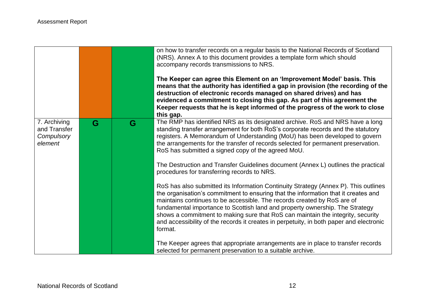|                                                       |   |   | on how to transfer records on a regular basis to the National Records of Scotland<br>(NRS). Annex A to this document provides a template form which should<br>accompany records transmissions to NRS.<br>The Keeper can agree this Element on an 'Improvement Model' basis. This<br>means that the authority has identified a gap in provision (the recording of the<br>destruction of electronic records managed on shared drives) and has<br>evidenced a commitment to closing this gap. As part of this agreement the<br>Keeper requests that he is kept informed of the progress of the work to close<br>this gap. |
|-------------------------------------------------------|---|---|------------------------------------------------------------------------------------------------------------------------------------------------------------------------------------------------------------------------------------------------------------------------------------------------------------------------------------------------------------------------------------------------------------------------------------------------------------------------------------------------------------------------------------------------------------------------------------------------------------------------|
| 7. Archiving<br>and Transfer<br>Compulsory<br>element | G | G | The RMP has identified NRS as its designated archive. RoS and NRS have a long<br>standing transfer arrangement for both RoS's corporate records and the statutory<br>registers. A Memorandum of Understanding (MoU) has been developed to govern<br>the arrangements for the transfer of records selected for permanent preservation.<br>RoS has submitted a signed copy of the agreed MoU.<br>The Destruction and Transfer Guidelines document (Annex L) outlines the practical<br>procedures for transferring records to NRS.                                                                                        |
|                                                       |   |   | RoS has also submitted its Information Continuity Strategy (Annex P). This outlines<br>the organisation's commitment to ensuring that the information that it creates and<br>maintains continues to be accessible. The records created by RoS are of<br>fundamental importance to Scottish land and property ownership. The Strategy<br>shows a commitment to making sure that RoS can maintain the integrity, security<br>and accessibility of the records it creates in perpetuity, in both paper and electronic<br>format.                                                                                          |
|                                                       |   |   | The Keeper agrees that appropriate arrangements are in place to transfer records<br>selected for permanent preservation to a suitable archive.                                                                                                                                                                                                                                                                                                                                                                                                                                                                         |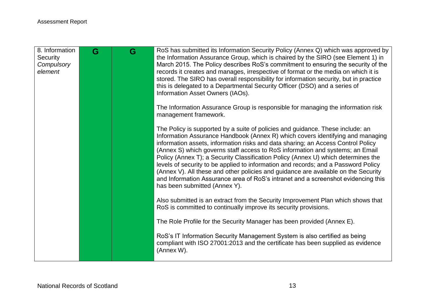| 8. Information<br>Security<br>Compulsory<br>element | G | G | RoS has submitted its Information Security Policy (Annex Q) which was approved by<br>the Information Assurance Group, which is chaired by the SIRO (see Element 1) in<br>March 2015. The Policy describes RoS's commitment to ensuring the security of the<br>records it creates and manages, irrespective of format or the media on which it is<br>stored. The SIRO has overall responsibility for information security, but in practice<br>this is delegated to a Departmental Security Officer (DSO) and a series of<br>Information Asset Owners (IAOs).                                                                                                                                                                  |
|-----------------------------------------------------|---|---|------------------------------------------------------------------------------------------------------------------------------------------------------------------------------------------------------------------------------------------------------------------------------------------------------------------------------------------------------------------------------------------------------------------------------------------------------------------------------------------------------------------------------------------------------------------------------------------------------------------------------------------------------------------------------------------------------------------------------|
|                                                     |   |   | The Information Assurance Group is responsible for managing the information risk<br>management framework.                                                                                                                                                                                                                                                                                                                                                                                                                                                                                                                                                                                                                    |
|                                                     |   |   | The Policy is supported by a suite of policies and guidance. These include: an<br>Information Assurance Handbook (Annex R) which covers identifying and managing<br>information assets, information risks and data sharing; an Access Control Policy<br>(Annex S) which governs staff access to RoS information and systems; an Email<br>Policy (Annex T); a Security Classification Policy (Annex U) which determines the<br>levels of security to be applied to information and records; and a Password Policy<br>(Annex V). All these and other policies and guidance are available on the Security<br>and Information Assurance area of RoS's intranet and a screenshot evidencing this<br>has been submitted (Annex Y). |
|                                                     |   |   | Also submitted is an extract from the Security Improvement Plan which shows that<br>RoS is committed to continually improve its security provisions.                                                                                                                                                                                                                                                                                                                                                                                                                                                                                                                                                                         |
|                                                     |   |   | The Role Profile for the Security Manager has been provided (Annex E).                                                                                                                                                                                                                                                                                                                                                                                                                                                                                                                                                                                                                                                       |
|                                                     |   |   | RoS's IT Information Security Management System is also certified as being<br>compliant with ISO 27001:2013 and the certificate has been supplied as evidence<br>(Annex W).                                                                                                                                                                                                                                                                                                                                                                                                                                                                                                                                                  |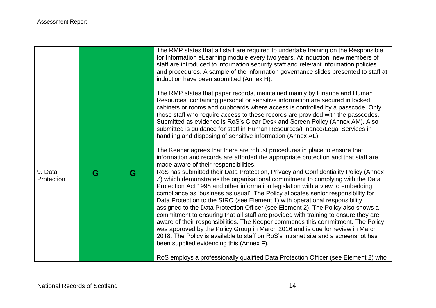|                       |   |   | The RMP states that all staff are required to undertake training on the Responsible<br>for Information eLearning module every two years. At induction, new members of<br>staff are introduced to information security staff and relevant information policies<br>and procedures. A sample of the information governance slides presented to staff at<br>induction have been submitted (Annex H).                                                                                                                                                                                                                                                                                                                                                                                                                                                                                                             |
|-----------------------|---|---|--------------------------------------------------------------------------------------------------------------------------------------------------------------------------------------------------------------------------------------------------------------------------------------------------------------------------------------------------------------------------------------------------------------------------------------------------------------------------------------------------------------------------------------------------------------------------------------------------------------------------------------------------------------------------------------------------------------------------------------------------------------------------------------------------------------------------------------------------------------------------------------------------------------|
|                       |   |   | The RMP states that paper records, maintained mainly by Finance and Human<br>Resources, containing personal or sensitive information are secured in locked<br>cabinets or rooms and cupboards where access is controlled by a passcode. Only<br>those staff who require access to these records are provided with the passcodes.<br>Submitted as evidence is RoS's Clear Desk and Screen Policy (Annex AM). Also<br>submitted is guidance for staff in Human Resources/Finance/Legal Services in<br>handling and disposing of sensitive information (Annex AL).                                                                                                                                                                                                                                                                                                                                              |
|                       |   |   | The Keeper agrees that there are robust procedures in place to ensure that<br>information and records are afforded the appropriate protection and that staff are<br>made aware of their responsibilities.                                                                                                                                                                                                                                                                                                                                                                                                                                                                                                                                                                                                                                                                                                    |
| 9. Data<br>Protection | G | G | RoS has submitted their Data Protection, Privacy and Confidentiality Policy (Annex<br>Z) which demonstrates the organisational commitment to complying with the Data<br>Protection Act 1998 and other information legislation with a view to embedding<br>compliance as 'business as usual'. The Policy allocates senior responsibility for<br>Data Protection to the SIRO (see Element 1) with operational responsibility<br>assigned to the Data Protection Officer (see Element 2). The Policy also shows a<br>commitment to ensuring that all staff are provided with training to ensure they are<br>aware of their responsibilities. The Keeper commends this commitment. The Policy<br>was approved by the Policy Group in March 2016 and is due for review in March<br>2018. The Policy is available to staff on RoS's intranet site and a screenshot has<br>been supplied evidencing this (Annex F). |
|                       |   |   | RoS employs a professionally qualified Data Protection Officer (see Element 2) who                                                                                                                                                                                                                                                                                                                                                                                                                                                                                                                                                                                                                                                                                                                                                                                                                           |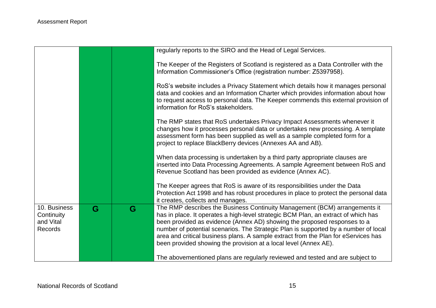|                                                           |   |   | regularly reports to the SIRO and the Head of Legal Services.                                                                                                                                                                                                                                                                                                                                                                                                                                 |
|-----------------------------------------------------------|---|---|-----------------------------------------------------------------------------------------------------------------------------------------------------------------------------------------------------------------------------------------------------------------------------------------------------------------------------------------------------------------------------------------------------------------------------------------------------------------------------------------------|
|                                                           |   |   | The Keeper of the Registers of Scotland is registered as a Data Controller with the<br>Information Commissioner's Office (registration number: Z5397958).                                                                                                                                                                                                                                                                                                                                     |
|                                                           |   |   | RoS's website includes a Privacy Statement which details how it manages personal<br>data and cookies and an Information Charter which provides information about how<br>to request access to personal data. The Keeper commends this external provision of<br>information for RoS's stakeholders.                                                                                                                                                                                             |
|                                                           |   |   | The RMP states that RoS undertakes Privacy Impact Assessments whenever it<br>changes how it processes personal data or undertakes new processing. A template<br>assessment form has been supplied as well as a sample completed form for a<br>project to replace BlackBerry devices (Annexes AA and AB).                                                                                                                                                                                      |
|                                                           |   |   | When data processing is undertaken by a third party appropriate clauses are<br>inserted into Data Processing Agreements. A sample Agreement between RoS and<br>Revenue Scotland has been provided as evidence (Annex AC).                                                                                                                                                                                                                                                                     |
|                                                           |   |   | The Keeper agrees that RoS is aware of its responsibilities under the Data<br>Protection Act 1998 and has robust procedures in place to protect the personal data<br>it creates, collects and manages.                                                                                                                                                                                                                                                                                        |
| 10. Business<br>Continuity<br>and Vital<br><b>Records</b> | G | G | The RMP describes the Business Continuity Management (BCM) arrangements it<br>has in place. It operates a high-level strategic BCM Plan, an extract of which has<br>been provided as evidence (Annex AD) showing the proposed responses to a<br>number of potential scenarios. The Strategic Plan is supported by a number of local<br>area and critical business plans. A sample extract from the Plan for eServices has<br>been provided showing the provision at a local level (Annex AE). |
|                                                           |   |   | The abovementioned plans are regularly reviewed and tested and are subject to                                                                                                                                                                                                                                                                                                                                                                                                                 |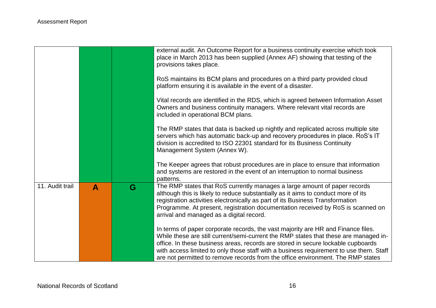|                 |                  |   | external audit. An Outcome Report for a business continuity exercise which took<br>place in March 2013 has been supplied (Annex AF) showing that testing of the<br>provisions takes place.                                                                                                                                                                                                                                                |
|-----------------|------------------|---|-------------------------------------------------------------------------------------------------------------------------------------------------------------------------------------------------------------------------------------------------------------------------------------------------------------------------------------------------------------------------------------------------------------------------------------------|
|                 |                  |   | RoS maintains its BCM plans and procedures on a third party provided cloud<br>platform ensuring it is available in the event of a disaster.                                                                                                                                                                                                                                                                                               |
|                 |                  |   | Vital records are identified in the RDS, which is agreed between Information Asset<br>Owners and business continuity managers. Where relevant vital records are<br>included in operational BCM plans.                                                                                                                                                                                                                                     |
|                 |                  |   | The RMP states that data is backed up nightly and replicated across multiple site<br>servers which has automatic back-up and recovery procedures in place. RoS's IT<br>division is accredited to ISO 22301 standard for its Business Continuity<br>Management System (Annex W).                                                                                                                                                           |
|                 |                  |   | The Keeper agrees that robust procedures are in place to ensure that information<br>and systems are restored in the event of an interruption to normal business<br>patterns.                                                                                                                                                                                                                                                              |
| 11. Audit trail | $\blacktriangle$ | G | The RMP states that RoS currently manages a large amount of paper records<br>although this is likely to reduce substantially as it aims to conduct more of its<br>registration activities electronically as part of its Business Transformation<br>Programme. At present, registration documentation received by RoS is scanned on<br>arrival and managed as a digital record.                                                            |
|                 |                  |   | In terms of paper corporate records, the vast majority are HR and Finance files.<br>While these are still current/semi-current the RMP states that these are managed in-<br>office. In these business areas, records are stored in secure lockable cupboards<br>with access limited to only those staff with a business requirement to use them. Staff<br>are not permitted to remove records from the office environment. The RMP states |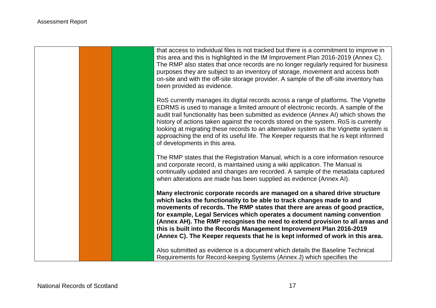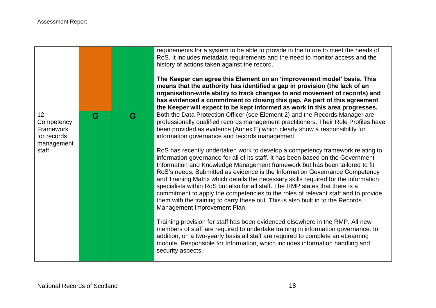|                                                                      |   |   | requirements for a system to be able to provide in the future to meet the needs of<br>RoS. It includes metadata requirements and the need to monitor access and the<br>history of actions taken against the record.<br>The Keeper can agree this Element on an 'improvement model' basis. This<br>means that the authority has identified a gap in provision (the lack of an<br>organisation-wide ability to track changes to and movement of records) and<br>has evidenced a commitment to closing this gap. As part of this agreement<br>the Keeper will expect to be kept informed as work in this area progresses.                                                                                                                                                                                                                                                                                                                                                                                                                                                                                                                                                                                                                                                                                                                                                                  |
|----------------------------------------------------------------------|---|---|-----------------------------------------------------------------------------------------------------------------------------------------------------------------------------------------------------------------------------------------------------------------------------------------------------------------------------------------------------------------------------------------------------------------------------------------------------------------------------------------------------------------------------------------------------------------------------------------------------------------------------------------------------------------------------------------------------------------------------------------------------------------------------------------------------------------------------------------------------------------------------------------------------------------------------------------------------------------------------------------------------------------------------------------------------------------------------------------------------------------------------------------------------------------------------------------------------------------------------------------------------------------------------------------------------------------------------------------------------------------------------------------|
| 12.<br>Competency<br>Framework<br>for records<br>management<br>staff | G | G | Both the Data Protection Officer (see Element 2) and the Records Manager are<br>professionally qualified records management practitioners. Their Role Profiles have<br>been provided as evidence (Annex E) which clearly show a responsibility for<br>information governance and records management.<br>RoS has recently undertaken work to develop a competency framework relating to<br>information governance for all of its staff. It has been based on the Government<br>Information and Knowledge Management framework but has been tailored to fit<br>RoS's needs. Submitted as evidence is the Information Governance Competency<br>and Training Matrix which details the necessary skills required for the information<br>specialists within RoS but also for all staff. The RMP states that there is a<br>commitment to apply the competencies to the roles of relevant staff and to provide<br>them with the training to carry these out. This is also built in to the Records<br>Management Improvement Plan.<br>Training provision for staff has been evidenced elsewhere in the RMP. All new<br>members of staff are required to undertake training in information governance. In<br>addition, on a two-yearly basis all staff are required to complete an eLearning<br>module, Responsible for Information, which includes information handling and<br>security aspects. |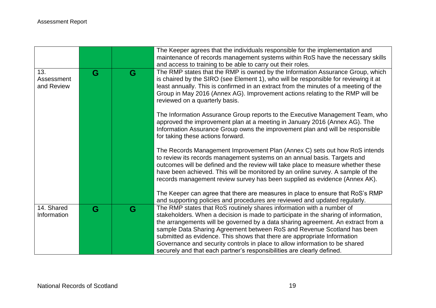| maintenance of records management systems within RoS have the necessary skills                                                                                                                                                               |
|----------------------------------------------------------------------------------------------------------------------------------------------------------------------------------------------------------------------------------------------|
| The RMP states that the RMP is owned by the Information Assurance Group, which                                                                                                                                                               |
| is chaired by the SIRO (see Element 1), who will be responsible for reviewing it at                                                                                                                                                          |
| least annually. This is confirmed in an extract from the minutes of a meeting of the                                                                                                                                                         |
| Group in May 2016 (Annex AG). Improvement actions relating to the RMP will be                                                                                                                                                                |
|                                                                                                                                                                                                                                              |
| The Information Assurance Group reports to the Executive Management Team, who<br>approved the improvement plan at a meeting in January 2016 (Annex AG). The<br>Information Assurance Group owns the improvement plan and will be responsible |
| The Records Management Improvement Plan (Annex C) sets out how RoS intends                                                                                                                                                                   |
| to review its records management systems on an annual basis. Targets and                                                                                                                                                                     |
| outcomes will be defined and the review will take place to measure whether these<br>have been achieved. This will be monitored by an online survey. A sample of the                                                                          |
| records management review survey has been supplied as evidence (Annex AK).                                                                                                                                                                   |
|                                                                                                                                                                                                                                              |
| The Keeper can agree that there are measures in place to ensure that RoS's RMP                                                                                                                                                               |
| and supporting policies and procedures are reviewed and updated regularly.                                                                                                                                                                   |
|                                                                                                                                                                                                                                              |
| stakeholders. When a decision is made to participate in the sharing of information,                                                                                                                                                          |
| the arrangements will be governed by a data sharing agreement. An extract from a                                                                                                                                                             |
| sample Data Sharing Agreement between RoS and Revenue Scotland has been<br>submitted as evidence. This shows that there are appropriate Information                                                                                          |
| Governance and security controls in place to allow information to be shared                                                                                                                                                                  |
|                                                                                                                                                                                                                                              |
| The RMP states that RoS routinely shares information with a number of                                                                                                                                                                        |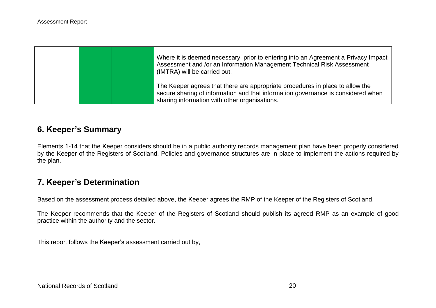|  | Where it is deemed necessary, prior to entering into an Agreement a Privacy Impact  <br>Assessment and /or an Information Management Technical Risk Assessment<br>(IMTRA) will be carried out.                     |
|--|--------------------------------------------------------------------------------------------------------------------------------------------------------------------------------------------------------------------|
|  | The Keeper agrees that there are appropriate procedures in place to allow the<br>secure sharing of information and that information governance is considered when<br>sharing information with other organisations. |

# **6. Keeper's Summary**

Elements 1-14 that the Keeper considers should be in a public authority records management plan have been properly considered by the Keeper of the Registers of Scotland. Policies and governance structures are in place to implement the actions required by the plan.

# **7. Keeper's Determination**

Based on the assessment process detailed above, the Keeper agrees the RMP of the Keeper of the Registers of Scotland.

The Keeper recommends that the Keeper of the Registers of Scotland should publish its agreed RMP as an example of good practice within the authority and the sector.

This report follows the Keeper's assessment carried out by,